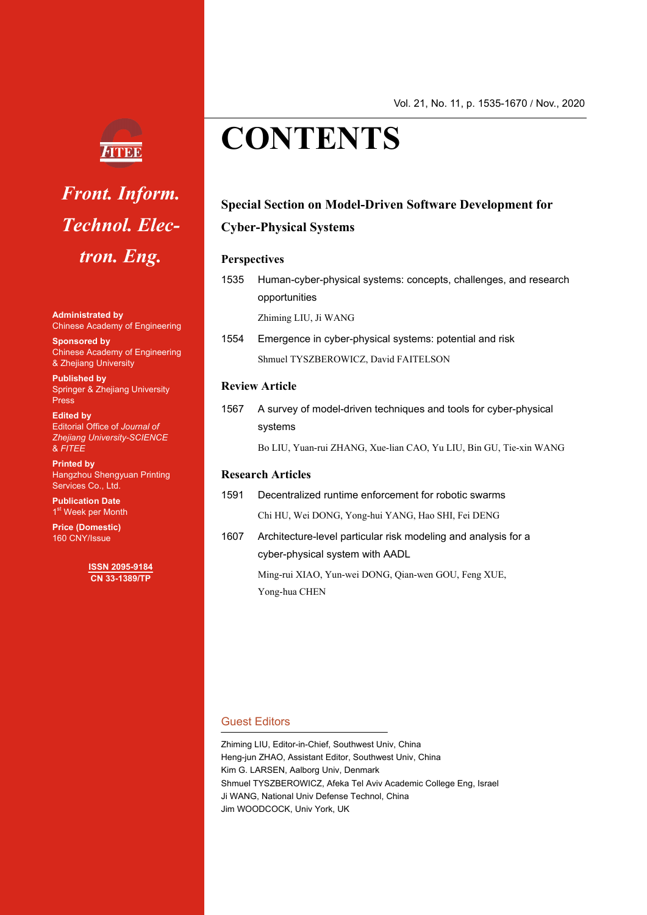

## *Front. Inform. Technol. Electron. Eng.*

**Administrated by** Chinese Academy of Engineering

**Sponsored by** Chinese Academy of Engineering & Zhejiang University

**Published by**  Springer & Zhejiang University **Press** 

**Edited by**  Editorial Office of *Journal of Zhejiang University-SCIENCE*  & *FITEE*

**Printed by** Hangzhou Shengyuan Printing Services Co., Ltd.

**Publication Date** 1<sup>st</sup> Week per Month

**Price (Domestic)**  160 CNY/Issue

> **ISSN 2095-9184 CN 33-1389/TP**

## Vol. 21, No. 11, p. 1535-1670 **/** Nov., 2020

# **CONTENTS**

### **Special Section on Model-Driven Software Development for Cyber-Physical Systems**

#### **Perspectives**

1535 Human-cyber-physical systems: concepts, challenges, and research opportunities

Zhiming LIU, Ji WANG

1554 Emergence in cyber-physical systems: potential and risk Shmuel TYSZBEROWICZ, David FAITELSON

#### **Review Article**

1567 A survey of model-driven techniques and tools for cyber-physical systems

Bo LIU, Yuan-rui ZHANG, Xue-lian CAO, Yu LIU, Bin GU, Tie-xin WANG

#### **Research Articles**

- 1591 Decentralized runtime enforcement for robotic swarms Chi HU, Wei DONG, Yong-hui YANG, Hao SHI, Fei DENG
- 1607 Architecture-level particular risk modeling and analysis for a cyber-physical system with AADL

Ming-rui XIAO, Yun-wei DONG, Qian-wen GOU, Feng XUE, Yong-hua CHEN

#### Guest Editors

Zhiming LIU, Editor-in-Chief, Southwest Univ, China Heng-jun ZHAO, Assistant Editor, Southwest Univ, China Kim G. LARSEN, Aalborg Univ, Denmark Shmuel TYSZBEROWICZ, Afeka Tel Aviv Academic College Eng, Israel Ji WANG, National Univ Defense Technol, China Jim WOODCOCK, Univ York, UK